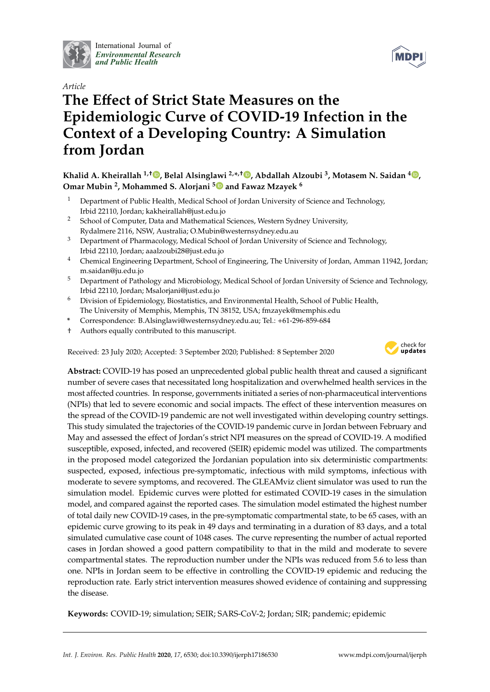

International Journal of *Environmental Research and Public Health*



# **The E**ff**ect of Strict State Measures on the Epidemiologic Curve of COVID-19 Infection in the Context of a Developing Country: A Simulation from Jordan**

**Khalid A. Kheirallah 1,**† **, Belal Alsinglawi 2,\* ,**† **, Abdallah Alzoubi <sup>3</sup> , Motasem N. Saidan <sup>4</sup> , Omar Mubin <sup>2</sup> , Mohammed S. Alorjani <sup>5</sup> and Fawaz Mzayek <sup>6</sup>**

- <sup>1</sup> Department of Public Health, Medical School of Jordan University of Science and Technology, Irbid 22110, Jordan; kakheirallah@just.edu.jo
- <sup>2</sup> School of Computer, Data and Mathematical Sciences, Western Sydney University, Rydalmere 2116, NSW, Australia; O.Mubin@westernsydney.edu.au
- <sup>3</sup> Department of Pharmacology, Medical School of Jordan University of Science and Technology, Irbid 22110, Jordan; aaalzoubi28@just.edu.jo
- <sup>4</sup> Chemical Engineering Department, School of Engineering, The University of Jordan, Amman 11942, Jordan; m.saidan@ju.edu.jo
- <sup>5</sup> Department of Pathology and Microbiology, Medical School of Jordan University of Science and Technology, Irbid 22110, Jordan; Msalorjani@just.edu.jo
- <sup>6</sup> Division of Epidemiology, Biostatistics, and Environmental Health, School of Public Health, The University of Memphis, Memphis, TN 38152, USA; fmzayek@memphis.edu
- **\*** Correspondence: B.Alsinglawi@westernsydney.edu.au; Tel.: +61-296-859-684
- † Authors equally contributed to this manuscript.

Received: 23 July 2020; Accepted: 3 September 2020; Published: 8 September 2020



**Abstract:** COVID-19 has posed an unprecedented global public health threat and caused a significant number of severe cases that necessitated long hospitalization and overwhelmed health services in the most affected countries. In response, governments initiated a series of non-pharmaceutical interventions (NPIs) that led to severe economic and social impacts. The effect of these intervention measures on the spread of the COVID-19 pandemic are not well investigated within developing country settings. This study simulated the trajectories of the COVID-19 pandemic curve in Jordan between February and May and assessed the effect of Jordan's strict NPI measures on the spread of COVID-19. A modified susceptible, exposed, infected, and recovered (SEIR) epidemic model was utilized. The compartments in the proposed model categorized the Jordanian population into six deterministic compartments: suspected, exposed, infectious pre-symptomatic, infectious with mild symptoms, infectious with moderate to severe symptoms, and recovered. The GLEAMviz client simulator was used to run the simulation model. Epidemic curves were plotted for estimated COVID-19 cases in the simulation model, and compared against the reported cases. The simulation model estimated the highest number of total daily new COVID-19 cases, in the pre-symptomatic compartmental state, to be 65 cases, with an epidemic curve growing to its peak in 49 days and terminating in a duration of 83 days, and a total simulated cumulative case count of 1048 cases. The curve representing the number of actual reported cases in Jordan showed a good pattern compatibility to that in the mild and moderate to severe compartmental states. The reproduction number under the NPIs was reduced from 5.6 to less than one. NPIs in Jordan seem to be effective in controlling the COVID-19 epidemic and reducing the reproduction rate. Early strict intervention measures showed evidence of containing and suppressing the disease.

**Keywords:** COVID-19; simulation; SEIR; SARS-CoV-2; Jordan; SIR; pandemic; epidemic

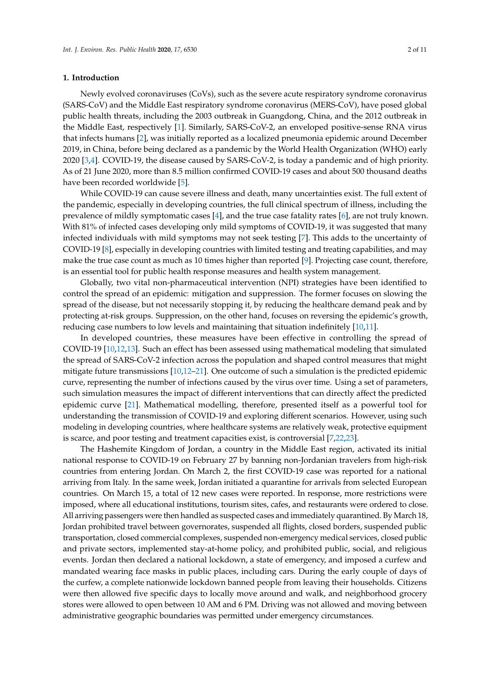## **1. Introduction**

Newly evolved coronaviruses (CoVs), such as the severe acute respiratory syndrome coronavirus (SARS-CoV) and the Middle East respiratory syndrome coronavirus (MERS-CoV), have posed global public health threats, including the 2003 outbreak in Guangdong, China, and the 2012 outbreak in the Middle East, respectively [1]. Similarly, SARS-CoV-2, an enveloped positive-sense RNA virus that infects humans [2], was initially reported as a localized pneumonia epidemic around December 2019, in China, before being declared as a pandemic by the World Health Organization (WHO) early 2020 [3,4]. COVID-19, the disease caused by SARS-CoV-2, is today a pandemic and of high priority. As of 21 June 2020, more than 8.5 million confirmed COVID-19 cases and about 500 thousand deaths have been recorded worldwide [5].

While COVID-19 can cause severe illness and death, many uncertainties exist. The full extent of the pandemic, especially in developing countries, the full clinical spectrum of illness, including the prevalence of mildly symptomatic cases [4], and the true case fatality rates [6], are not truly known. With 81% of infected cases developing only mild symptoms of COVID-19, it was suggested that many infected individuals with mild symptoms may not seek testing [7]. This adds to the uncertainty of COVID-19 [8], especially in developing countries with limited testing and treating capabilities, and may make the true case count as much as 10 times higher than reported [9]. Projecting case count, therefore, is an essential tool for public health response measures and health system management.

Globally, two vital non-pharmaceutical intervention (NPI) strategies have been identified to control the spread of an epidemic: mitigation and suppression. The former focuses on slowing the spread of the disease, but not necessarily stopping it, by reducing the healthcare demand peak and by protecting at-risk groups. Suppression, on the other hand, focuses on reversing the epidemic's growth, reducing case numbers to low levels and maintaining that situation indefinitely [10,11].

In developed countries, these measures have been effective in controlling the spread of COVID-19 [10,12,13]. Such an effect has been assessed using mathematical modeling that simulated the spread of SARS-CoV-2 infection across the population and shaped control measures that might mitigate future transmissions [10,12–21]. One outcome of such a simulation is the predicted epidemic curve, representing the number of infections caused by the virus over time. Using a set of parameters, such simulation measures the impact of different interventions that can directly affect the predicted epidemic curve [21]. Mathematical modelling, therefore, presented itself as a powerful tool for understanding the transmission of COVID-19 and exploring different scenarios. However, using such modeling in developing countries, where healthcare systems are relatively weak, protective equipment is scarce, and poor testing and treatment capacities exist, is controversial [7,22,23].

The Hashemite Kingdom of Jordan, a country in the Middle East region, activated its initial national response to COVID-19 on February 27 by banning non-Jordanian travelers from high-risk countries from entering Jordan. On March 2, the first COVID-19 case was reported for a national arriving from Italy. In the same week, Jordan initiated a quarantine for arrivals from selected European countries. On March 15, a total of 12 new cases were reported. In response, more restrictions were imposed, where all educational institutions, tourism sites, cafes, and restaurants were ordered to close. All arriving passengers were then handled as suspected cases and immediately quarantined. By March 18, Jordan prohibited travel between governorates, suspended all flights, closed borders, suspended public transportation, closed commercial complexes, suspended non-emergency medical services, closed public and private sectors, implemented stay-at-home policy, and prohibited public, social, and religious events. Jordan then declared a national lockdown, a state of emergency, and imposed a curfew and mandated wearing face masks in public places, including cars. During the early couple of days of the curfew, a complete nationwide lockdown banned people from leaving their households. Citizens were then allowed five specific days to locally move around and walk, and neighborhood grocery stores were allowed to open between 10 AM and 6 PM. Driving was not allowed and moving between administrative geographic boundaries was permitted under emergency circumstances.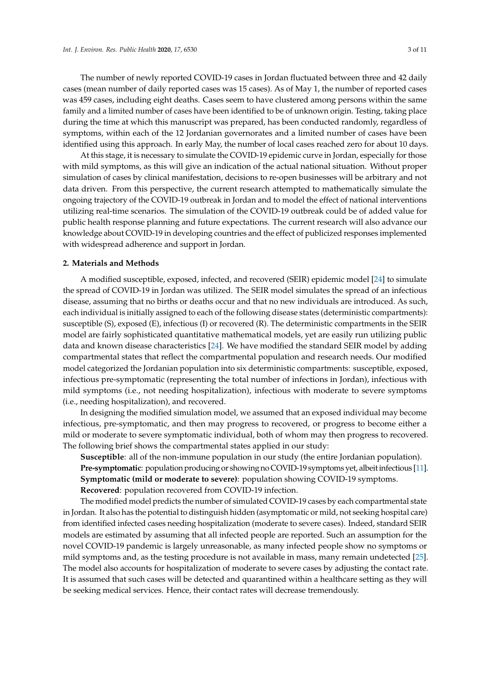The number of newly reported COVID-19 cases in Jordan fluctuated between three and 42 daily cases (mean number of daily reported cases was 15 cases). As of May 1, the number of reported cases was 459 cases, including eight deaths. Cases seem to have clustered among persons within the same family and a limited number of cases have been identified to be of unknown origin. Testing, taking place during the time at which this manuscript was prepared, has been conducted randomly, regardless of symptoms, within each of the 12 Jordanian governorates and a limited number of cases have been identified using this approach. In early May, the number of local cases reached zero for about 10 days.

At this stage, it is necessary to simulate the COVID-19 epidemic curve in Jordan, especially for those with mild symptoms, as this will give an indication of the actual national situation. Without proper simulation of cases by clinical manifestation, decisions to re-open businesses will be arbitrary and not data driven. From this perspective, the current research attempted to mathematically simulate the ongoing trajectory of the COVID-19 outbreak in Jordan and to model the effect of national interventions utilizing real-time scenarios. The simulation of the COVID-19 outbreak could be of added value for public health response planning and future expectations. The current research will also advance our knowledge about COVID-19 in developing countries and the effect of publicized responses implemented with widespread adherence and support in Jordan.

## **2. Materials and Methods**

A modified susceptible, exposed, infected, and recovered (SEIR) epidemic model [24] to simulate the spread of COVID-19 in Jordan was utilized. The SEIR model simulates the spread of an infectious disease, assuming that no births or deaths occur and that no new individuals are introduced. As such, each individual is initially assigned to each of the following disease states (deterministic compartments): susceptible (S), exposed (E), infectious (I) or recovered (R). The deterministic compartments in the SEIR model are fairly sophisticated quantitative mathematical models, yet are easily run utilizing public data and known disease characteristics [24]. We have modified the standard SEIR model by adding compartmental states that reflect the compartmental population and research needs. Our modified model categorized the Jordanian population into six deterministic compartments: susceptible, exposed, infectious pre-symptomatic (representing the total number of infections in Jordan), infectious with mild symptoms (i.e., not needing hospitalization), infectious with moderate to severe symptoms (i.e., needing hospitalization), and recovered.

In designing the modified simulation model, we assumed that an exposed individual may become infectious, pre-symptomatic, and then may progress to recovered, or progress to become either a mild or moderate to severe symptomatic individual, both of whom may then progress to recovered. The following brief shows the compartmental states applied in our study:

**Susceptible**: all of the non-immune population in our study (the entire Jordanian population). **Pre-symptomatic**: population producing or showing no COVID-19 symptoms yet, albeit infectious [11]. **Symptomatic (mild or moderate to severe)**: population showing COVID-19 symptoms.

**Recovered**: population recovered from COVID-19 infection.

The modified model predicts the number of simulated COVID-19 cases by each compartmental state in Jordan. It also has the potential to distinguish hidden (asymptomatic or mild, not seeking hospital care) from identified infected cases needing hospitalization (moderate to severe cases). Indeed, standard SEIR models are estimated by assuming that all infected people are reported. Such an assumption for the novel COVID-19 pandemic is largely unreasonable, as many infected people show no symptoms or mild symptoms and, as the testing procedure is not available in mass, many remain undetected [25]. The model also accounts for hospitalization of moderate to severe cases by adjusting the contact rate. It is assumed that such cases will be detected and quarantined within a healthcare setting as they will be seeking medical services. Hence, their contact rates will decrease tremendously.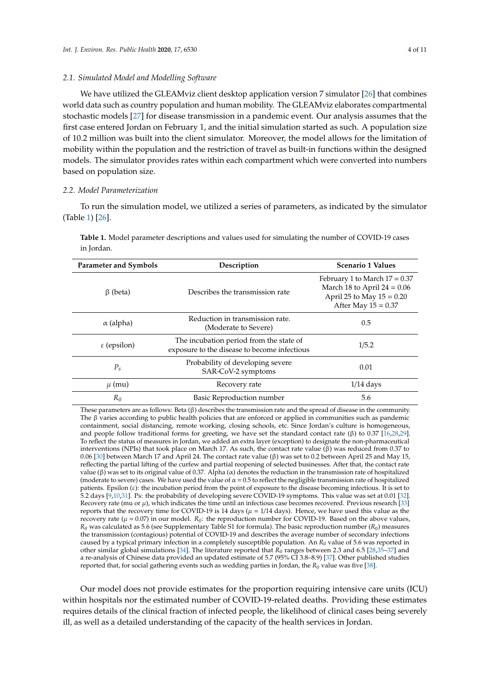## *2.1. Simulated Model and Modelling Software*

We have utilized the GLEAMviz client desktop application version 7 simulator [26] that combines world data such as country population and human mobility. The GLEAMviz elaborates compartmental stochastic models [27] for disease transmission in a pandemic event. Our analysis assumes that the first case entered Jordan on February 1, and the initial simulation started as such. A population size of 10.2 million was built into the client simulator. Moreover, the model allows for the limitation of mobility within the population and the restriction of travel as built-in functions within the designed models. The simulator provides rates within each compartment which were converted into numbers based on population size.

#### *2.2. Model Parameterization*

To run the simulation model, we utilized a series of parameters, as indicated by the simulator (Table 1) [26].

| <b>Parameter and Symbols</b> | Description                                                                             | <b>Scenario 1 Values</b>                                                                                                 |
|------------------------------|-----------------------------------------------------------------------------------------|--------------------------------------------------------------------------------------------------------------------------|
| $\beta$ (beta)               | Describes the transmission rate                                                         | February 1 to March $17 = 0.37$<br>March 18 to April $24 = 0.06$<br>April 25 to May $15 = 0.20$<br>After May $15 = 0.37$ |
| $\alpha$ (alpha)             | Reduction in transmission rate.<br>(Moderate to Severe)                                 | 0.5                                                                                                                      |
| $\epsilon$ (epsilon)         | The incubation period from the state of<br>exposure to the disease to become infectious | 1/5.2                                                                                                                    |
| $P_{\rm s}$                  | Probability of developing severe<br>SAR-CoV-2 symptoms                                  | 0.01                                                                                                                     |
| $\mu$ (mu)                   | Recovery rate                                                                           | $1/14$ days                                                                                                              |
| $R_0$                        | Basic Reproduction number                                                               | 5.6                                                                                                                      |

**Table 1.** Model parameter descriptions and values used for simulating the number of COVID-19 cases in Jordan.

These parameters are as follows: Beta (β) describes the transmission rate and the spread of disease in the community. The β varies according to public health policies that are enforced or applied in communities such as pandemic containment, social distancing, remote working, closing schools, etc. Since Jordan's culture is homogeneous, and people follow traditional forms for greeting, we have set the standard contact rate (β) to 0.37 [16,28,29]. To reflect the status of measures in Jordan, we added an extra layer (exception) to designate the non-pharmaceutical interventions (NPIs) that took place on March 17. As such, the contact rate value (β) was reduced from 0.37 to 0.06 [30] between March 17 and April 24. The contact rate value (β) was set to 0.2 between April 25 and May 15, reflecting the partial lifting of the curfew and partial reopening of selected businesses. After that, the contact rate value (β) was set to its original value of 0.37. Alpha ( $α$ ) denotes the reduction in the transmission rate of hospitalized (moderate to severe) cases. We have used the value of  $\alpha$  = 0.5 to reflect the negligible transmission rate of hospitalized patients. Epsilon  $(\varepsilon)$ : the incubation period from the point of exposure to the disease becoming infectious. It is set to 5.2 days [9,10,31]. Ps: the probability of developing severe COVID-19 symptoms. This value was set at 0.01 [32]. Recovery rate (mu or  $\mu$ ), which indicates the time until an infectious case becomes recovered. Previous research [33] reports that the recovery time for COVID-19 is 14 days ( $\mu = 1/14$  days). Hence, we have used this value as the recovery rate ( $\mu$  = 0.07) in our model.  $R_0$ : the reproduction number for COVID-19. Based on the above values, *R<sup>0</sup>* was calculated as 5.6 (see Supplementary Table S1 for formula). The basic reproduction number (*R0*) measures the transmission (contagious) potential of COVID-19 and describes the average number of secondary infections caused by a typical primary infection in a completely susceptible population. An *R<sup>0</sup>* value of 5.6 was reported in other similar global simulations [34]. The literature reported that *R<sup>0</sup>* ranges between 2.3 and 6.5 [28,35–37] and a re-analysis of Chinese data provided an updated estimate of 5.7 (95% CI 3.8–8.9) [37]. Other published studies reported that, for social gathering events such as wedding parties in Jordan, the *R<sup>0</sup>* value was five [38].

Our model does not provide estimates for the proportion requiring intensive care units (ICU) within hospitals nor the estimated number of COVID-19-related deaths. Providing these estimates requires details of the clinical fraction of infected people, the likelihood of clinical cases being severely ill, as well as a detailed understanding of the capacity of the health services in Jordan.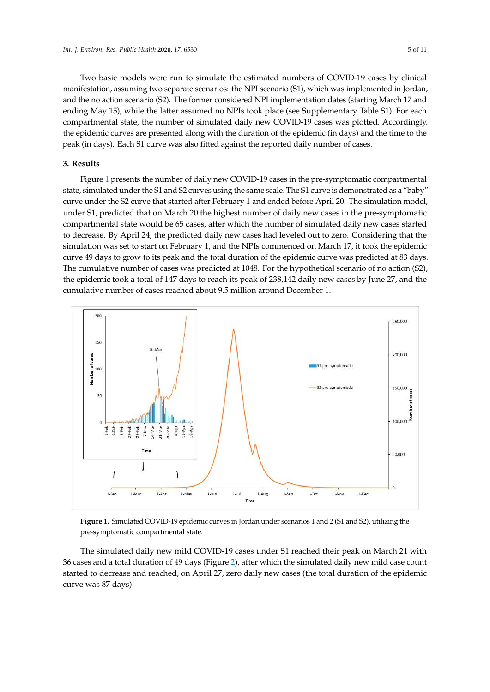Two basic models were run to simulate the estimated numbers of COVID-19 cases by clinical manifestation, assuming two separate scenarios: the NPI scenario (S1), which was implemented in Jordan, and the no action scenario (S2). The former considered NPI implementation dates (starting March 17 and ending May 15), while the latter assumed no NPIs took place (see Supplementary Table S1). For each compartmental state, the number of simulated daily new COVID-19 cases was plotted. Accordingly, the epidemic curves are presented along with the duration of the epidemic (in days) and the time to the peak (in days). Each S1 curve was also fitted against the reported daily number of cases.

# **3. Results**

Figure 1 presents the number of daily new COVID-19 cases in the pre-symptomatic compartmental state, simulated under the S1 and S2 curves using the same scale. The S1 curve is demonstrated as a "baby" curve under the S2 curve that started after February 1 and ended before April 20. The simulation model, under S1, predicted that on March 20 the highest number of daily new cases in the pre-symptomatic compartmental state would be 65 cases, after which the number of simulated daily new cases started to decrease. By April 24, the predicted daily new cases had leveled out to zero. Considering that the simulation was set to start on February 1, and the NPIs commenced on March 17, it took the epidemic curve 49 days to grow to its peak and the total duration of the epidemic curve was predicted at 83 days. The cumulative number of cases was predicted at 1048. For the hypothetical scenario of no action (S2), the epidemic took a total of 147 days to reach its peak of 238,142 daily new cases by June 27, and the cumulative number of cases reached about 9.5 million around December 1.



**Figure 1.** Simulated COVID-19 epidemic curves in Jordan under scenarios 1 and 2 (S1 and S2), utilizing the pre-symptomatic compartmental state.

The simulated daily new mild COVID-19 cases under S1 reached their peak on March 21 with 36 cases and a total duration of 49 days (Figure 2), after which the simulated daily new mild case count started to decrease and reached, on April 27, zero daily new cases (the total duration of the epidemic curve was 87 days).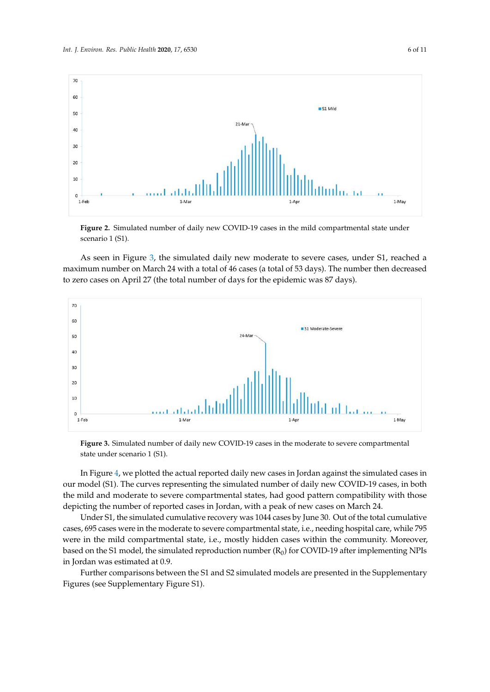

**Figure 2.** Simulated number of daily new COVID-19 cases in the mild compartmental state under scenario 1 (S1).

As seen in Figure 3, the simulated daily new moderate to severe cases, under S1, reached a maximum number on March 24 with a total of 46 cases (a total of 53 days). The number then decreased to zero cases on April 27 (the total number of days for the epidemic was 87 days).



**Figure 3.** Simulated number of daily new COVID-19 cases in the moderate to severe compartmental state under scenario 1 (S1).

In Figure 4, we plotted the actual reported daily new cases in Jordan against the simulated cases in our model (S1). The curves representing the simulated number of daily new COVID-19 cases, in both the mild and moderate to severe compartmental states, had good pattern compatibility with those depicting the number of reported cases in Jordan, with a peak of new cases on March 24.

Under S1, the simulated cumulative recovery was 1044 cases by June 30. Out of the total cumulative cases, 695 cases were in the moderate to severe compartmental state, i.e., needing hospital care, while 795 were in the mild compartmental state, i.e., mostly hidden cases within the community. Moreover, based on the S1 model, the simulated reproduction number  $(R_0)$  for COVID-19 after implementing NPIs in Jordan was estimated at 0.9.

Further comparisons between the S1 and S2 simulated models are presented in the Supplementary Figures (see Supplementary Figure S1).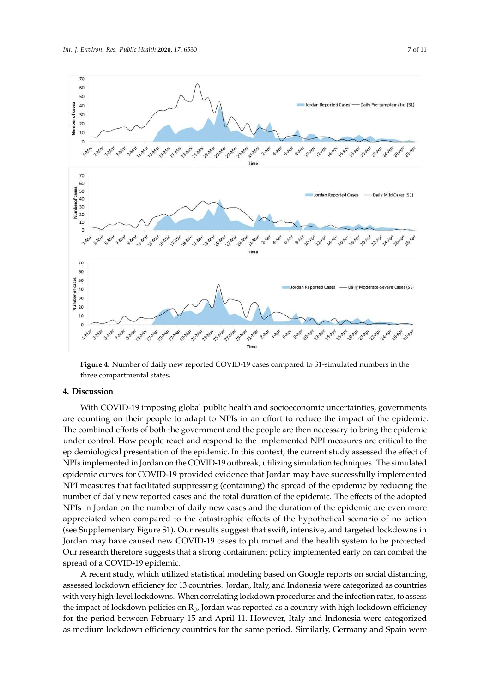

**Figure 4.** Number of daily new reported COVID-19 cases compared to S1-simulated numbers in the three compartmental states.

## **4. Discussion**

With COVID-19 imposing global public health and socioeconomic uncertainties, governments are counting on their people to adapt to NPIs in an effort to reduce the impact of the epidemic. The combined efforts of both the government and the people are then necessary to bring the epidemic under control. How people react and respond to the implemented NPI measures are critical to the epidemiological presentation of the epidemic. In this context, the current study assessed the effect of NPIs implemented in Jordan on the COVID-19 outbreak, utilizing simulation techniques. The simulated epidemic curves for COVID-19 provided evidence that Jordan may have successfully implemented NPI measures that facilitated suppressing (containing) the spread of the epidemic by reducing the number of daily new reported cases and the total duration of the epidemic. The effects of the adopted NPIs in Jordan on the number of daily new cases and the duration of the epidemic are even more appreciated when compared to the catastrophic effects of the hypothetical scenario of no action (see Supplementary Figure S1). Our results suggest that swift, intensive, and targeted lockdowns in Jordan may have caused new COVID-19 cases to plummet and the health system to be protected. Our research therefore suggests that a strong containment policy implemented early on can combat the spread of a COVID-19 epidemic.

A recent study, which utilized statistical modeling based on Google reports on social distancing, assessed lockdown efficiency for 13 countries. Jordan, Italy, and Indonesia were categorized as countries with very high-level lockdowns. When correlating lockdown procedures and the infection rates, to assess the impact of lockdown policies on  $R_0$ , Jordan was reported as a country with high lockdown efficiency for the period between February 15 and April 11. However, Italy and Indonesia were categorized as medium lockdown efficiency countries for the same period. Similarly, Germany and Spain were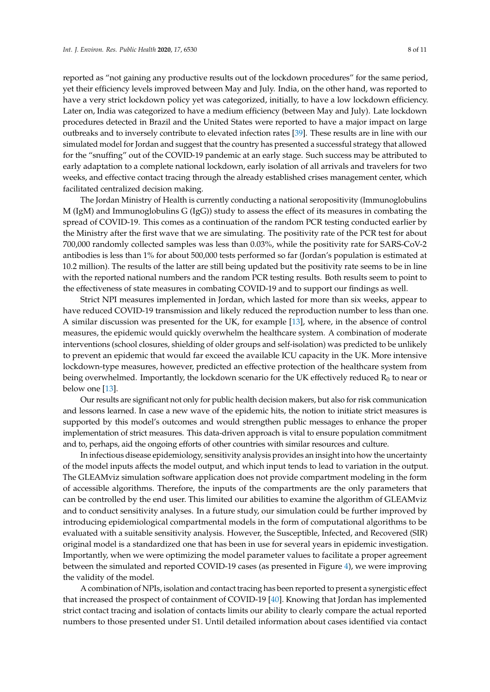reported as "not gaining any productive results out of the lockdown procedures" for the same period, yet their efficiency levels improved between May and July. India, on the other hand, was reported to have a very strict lockdown policy yet was categorized, initially, to have a low lockdown efficiency. Later on, India was categorized to have a medium efficiency (between May and July). Late lockdown procedures detected in Brazil and the United States were reported to have a major impact on large outbreaks and to inversely contribute to elevated infection rates [39]. These results are in line with our simulated model for Jordan and suggest that the country has presented a successful strategy that allowed for the "snuffing" out of the COVID-19 pandemic at an early stage. Such success may be attributed to early adaptation to a complete national lockdown, early isolation of all arrivals and travelers for two weeks, and effective contact tracing through the already established crises management center, which facilitated centralized decision making.

The Jordan Ministry of Health is currently conducting a national seropositivity (Immunoglobulins M (IgM) and Immunoglobulins G (IgG)) study to assess the effect of its measures in combating the spread of COVID-19. This comes as a continuation of the random PCR testing conducted earlier by the Ministry after the first wave that we are simulating. The positivity rate of the PCR test for about 700,000 randomly collected samples was less than 0.03%, while the positivity rate for SARS-CoV-2 antibodies is less than 1% for about 500,000 tests performed so far (Jordan's population is estimated at 10.2 million). The results of the latter are still being updated but the positivity rate seems to be in line with the reported national numbers and the random PCR testing results. Both results seem to point to the effectiveness of state measures in combating COVID-19 and to support our findings as well.

Strict NPI measures implemented in Jordan, which lasted for more than six weeks, appear to have reduced COVID-19 transmission and likely reduced the reproduction number to less than one. A similar discussion was presented for the UK, for example [13], where, in the absence of control measures, the epidemic would quickly overwhelm the healthcare system. A combination of moderate interventions (school closures, shielding of older groups and self-isolation) was predicted to be unlikely to prevent an epidemic that would far exceed the available ICU capacity in the UK. More intensive lockdown-type measures, however, predicted an effective protection of the healthcare system from being overwhelmed. Importantly, the lockdown scenario for the UK effectively reduced  $R_0$  to near or below one [13].

Our results are significant not only for public health decision makers, but also for risk communication and lessons learned. In case a new wave of the epidemic hits, the notion to initiate strict measures is supported by this model's outcomes and would strengthen public messages to enhance the proper implementation of strict measures. This data-driven approach is vital to ensure population commitment and to, perhaps, aid the ongoing efforts of other countries with similar resources and culture.

In infectious disease epidemiology, sensitivity analysis provides an insight into how the uncertainty of the model inputs affects the model output, and which input tends to lead to variation in the output. The GLEAMviz simulation software application does not provide compartment modeling in the form of accessible algorithms. Therefore, the inputs of the compartments are the only parameters that can be controlled by the end user. This limited our abilities to examine the algorithm of GLEAMviz and to conduct sensitivity analyses. In a future study, our simulation could be further improved by introducing epidemiological compartmental models in the form of computational algorithms to be evaluated with a suitable sensitivity analysis. However, the Susceptible, Infected, and Recovered (SIR) original model is a standardized one that has been in use for several years in epidemic investigation. Importantly, when we were optimizing the model parameter values to facilitate a proper agreement between the simulated and reported COVID-19 cases (as presented in Figure 4), we were improving the validity of the model.

A combination of NPIs, isolation and contact tracing has been reported to present a synergistic effect that increased the prospect of containment of COVID-19 [40]. Knowing that Jordan has implemented strict contact tracing and isolation of contacts limits our ability to clearly compare the actual reported numbers to those presented under S1. Until detailed information about cases identified via contact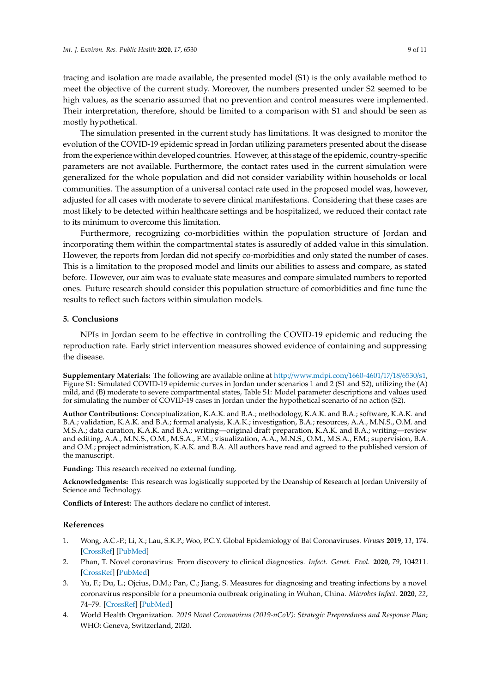tracing and isolation are made available, the presented model (S1) is the only available method to meet the objective of the current study. Moreover, the numbers presented under S2 seemed to be high values, as the scenario assumed that no prevention and control measures were implemented. Their interpretation, therefore, should be limited to a comparison with S1 and should be seen as mostly hypothetical.

The simulation presented in the current study has limitations. It was designed to monitor the evolution of the COVID-19 epidemic spread in Jordan utilizing parameters presented about the disease from the experience within developed countries. However, at this stage of the epidemic, country-specific parameters are not available. Furthermore, the contact rates used in the current simulation were generalized for the whole population and did not consider variability within households or local communities. The assumption of a universal contact rate used in the proposed model was, however, adjusted for all cases with moderate to severe clinical manifestations. Considering that these cases are most likely to be detected within healthcare settings and be hospitalized, we reduced their contact rate to its minimum to overcome this limitation.

Furthermore, recognizing co-morbidities within the population structure of Jordan and incorporating them within the compartmental states is assuredly of added value in this simulation. However, the reports from Jordan did not specify co-morbidities and only stated the number of cases. This is a limitation to the proposed model and limits our abilities to assess and compare, as stated before. However, our aim was to evaluate state measures and compare simulated numbers to reported ones. Future research should consider this population structure of comorbidities and fine tune the results to reflect such factors within simulation models.

# **5. Conclusions**

NPIs in Jordan seem to be effective in controlling the COVID-19 epidemic and reducing the reproduction rate. Early strict intervention measures showed evidence of containing and suppressing the disease.

**Supplementary Materials:** The following are available online at http://www.mdpi.com/1660-4601/17/18/6530/s1, Figure S1: Simulated COVID-19 epidemic curves in Jordan under scenarios 1 and 2 (S1 and S2), utilizing the (A) mild, and (B) moderate to severe compartmental states, Table S1: Model parameter descriptions and values used for simulating the number of COVID-19 cases in Jordan under the hypothetical scenario of no action (S2).

**Author Contributions:** Conceptualization, K.A.K. and B.A.; methodology, K.A.K. and B.A.; software, K.A.K. and B.A.; validation, K.A.K. and B.A.; formal analysis, K.A.K.; investigation, B.A.; resources, A.A., M.N.S., O.M. and M.S.A.; data curation, K.A.K. and B.A.; writing—original draft preparation, K.A.K. and B.A.; writing—review and editing, A.A., M.N.S., O.M., M.S.A., F.M.; visualization, A.A., M.N.S., O.M., M.S.A., F.M.; supervision, B.A. and O.M.; project administration, K.A.K. and B.A. All authors have read and agreed to the published version of the manuscript.

**Funding:** This research received no external funding.

**Acknowledgments:** This research was logistically supported by the Deanship of Research at Jordan University of Science and Technology.

**Conflicts of Interest:** The authors declare no conflict of interest.

# **References**

- 1. Wong, A.C.-P.; Li, X.; Lau, S.K.P.; Woo, P.C.Y. Global Epidemiology of Bat Coronaviruses. *Viruses* **2019**, *11*, 174. [CrossRef] [PubMed]
- 2. Phan, T. Novel coronavirus: From discovery to clinical diagnostics. *Infect. Genet. Evol.* **2020**, *79*, 104211. [CrossRef] [PubMed]
- 3. Yu, F.; Du, L.; Ojcius, D.M.; Pan, C.; Jiang, S. Measures for diagnosing and treating infections by a novel coronavirus responsible for a pneumonia outbreak originating in Wuhan, China. *Microbes Infect.* **2020**, *22*, 74–79. [CrossRef] [PubMed]
- 4. World Health Organization. *2019 Novel Coronavirus (2019-nCoV): Strategic Preparedness and Response Plan*; WHO: Geneva, Switzerland, 2020.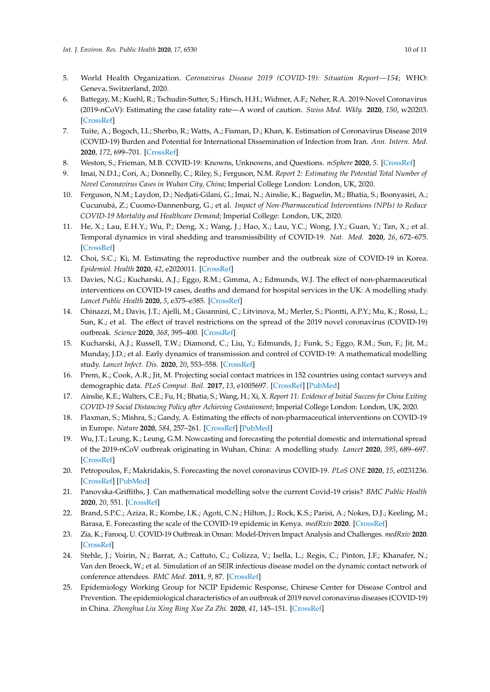- 5. World Health Organization. *Coronavirus Disease 2019 (COVID-19): Situation Report—154*; WHO: Geneva, Switzerland, 2020.
- 6. Battegay, M.; Kuehl, R.; Tschudin-Sutter, S.; Hirsch, H.H.; Widmer, A.F.; Neher, R.A. 2019-Novel Coronavirus (2019-nCoV): Estimating the case fatality rate—A word of caution. *Swiss Med. Wkly.* **2020**, *150*, w20203. [CrossRef]
- 7. Tuite, A.; Bogoch, I.I.; Sherbo, R.; Watts, A.; Fisman, D.; Khan, K. Estimation of Coronavirus Disease 2019 (COVID-19) Burden and Potential for International Dissemination of Infection from Iran. *Ann. Intern. Med.* **2020**, *172*, 699–701. [CrossRef]
- 8. Weston, S.; Frieman, M.B. COVID-19: Knowns, Unknowns, and Questions. *mSphere* **2020**, *5*. [CrossRef]
- 9. Imai, N.D.I.; Cori, A.; Donnelly, C.; Riley, S.; Ferguson, N.M. *Report 2: Estimating the Potential Total Number of Novel Coronavirus Cases in Wuhan City, China*; Imperial College London: London, UK, 2020.
- 10. Ferguson, N.M.; Laydon, D.; Nedjati-Gilani, G.; Imai, N.; Ainslie, K.; Baguelin, M.; Bhatia, S.; Boonyasiri, A.; Cucunubá, Z.; Cuomo-Dannenburg, G.; et al. *Impact of Non-Pharmaceutical Interventions (NPIs) to Reduce COVID-19 Mortality and Healthcare Demand*; Imperial College: London, UK, 2020.
- 11. He, X.; Lau, E.H.Y.; Wu, P.; Deng, X.; Wang, J.; Hao, X.; Lau, Y.C.; Wong, J.Y.; Guan, Y.; Tan, X.; et al. Temporal dynamics in viral shedding and transmissibility of COVID-19. *Nat. Med.* **2020**, *26*, 672–675. [CrossRef]
- 12. Choi, S.C.; Ki, M. Estimating the reproductive number and the outbreak size of COVID-19 in Korea. *Epidemiol. Health* **2020**, *42*, e2020011. [CrossRef]
- 13. Davies, N.G.; Kucharski, A.J.; Eggo, R.M.; Gimma, A.; Edmunds, W.J. The effect of non-pharmaceutical interventions on COVID-19 cases, deaths and demand for hospital services in the UK: A modelling study. *Lancet Public Health* **2020**, *5*, e375–e385. [CrossRef]
- 14. Chinazzi, M.; Davis, J.T.; Ajelli, M.; Gioannini, C.; Litvinova, M.; Merler, S.; Piontti, A.P.Y.; Mu, K.; Rossi, L.; Sun, K.; et al. The effect of travel restrictions on the spread of the 2019 novel coronavirus (COVID-19) outbreak. *Science* **2020**, *368*, 395–400. [CrossRef]
- 15. Kucharski, A.J.; Russell, T.W.; Diamond, C.; Liu, Y.; Edmunds, J.; Funk, S.; Eggo, R.M.; Sun, F.; Jit, M.; Munday, J.D.; et al. Early dynamics of transmission and control of COVID-19: A mathematical modelling study. *Lancet Infect. Dis.* **2020**, *20*, 553–558. [CrossRef]
- 16. Prem, K.; Cook, A.R.; Jit, M. Projecting social contact matrices in 152 countries using contact surveys and demographic data. *PLoS Comput. Boil.* **2017**, *13*, e1005697. [CrossRef] [PubMed]
- 17. Ainslie, K.E.; Walters, C.E.; Fu, H.; Bhatia, S.; Wang, H.; Xi, X. *Report 11: Evidence of Initial Success for China Exiting COVID-19 Social Distancing Policy after Achieving Containment*; Imperial College London: London, UK, 2020.
- 18. Flaxman, S.; Mishra, S.; Gandy, A. Estimating the effects of non-pharmaceutical interventions on COVID-19 in Europe. *Nature* **2020**, *584*, 257–261. [CrossRef] [PubMed]
- 19. Wu, J.T.; Leung, K.; Leung, G.M. Nowcasting and forecasting the potential domestic and international spread of the 2019-nCoV outbreak originating in Wuhan, China: A modelling study. *Lancet* **2020**, *395*, 689–697. [CrossRef]
- 20. Petropoulos, F.; Makridakis, S. Forecasting the novel coronavirus COVID-19. *PLoS ONE* **2020**, *15*, e0231236. [CrossRef] [PubMed]
- 21. Panovska-Griffiths, J. Can mathematical modelling solve the current Covid-19 crisis? *BMC Public Health* **2020**, *20*, 551. [CrossRef]
- 22. Brand, S.P.C.; Aziza, R.; Kombe, I.K.; Agoti, C.N.; Hilton, J.; Rock, K.S.; Parisi, A.; Nokes, D.J.; Keeling, M.; Barasa, E. Forecasting the scale of the COVID-19 epidemic in Kenya. *medRxiv* **2020**. [CrossRef]
- 23. Zia, K.; Farooq, U. COVID-19 Outbreak in Oman: Model-Driven Impact Analysis and Challenges. *medRxiv* **2020**. [CrossRef]
- 24. Stehle, J.; Voirin, N.; Barrat, A.; Cattuto, C.; Colizza, V.; Isella, L.; Regis, C.; Pinton, J.F.; Khanafer, N.; Van den Broeck, W.; et al. Simulation of an SEIR infectious disease model on the dynamic contact network of conference attendees. *BMC Med.* **2011**, *9*, 87. [CrossRef]
- 25. Epidemiology Working Group for NCIP Epidemic Response, Chinese Center for Disease Control and Prevention. The epidemiological characteristics of an outbreak of 2019 novel coronavirus diseases (COVID-19) in China. *Zhonghua Liu Xing Bing Xue Za Zhi.* **2020**, *41*, 145–151. [CrossRef]